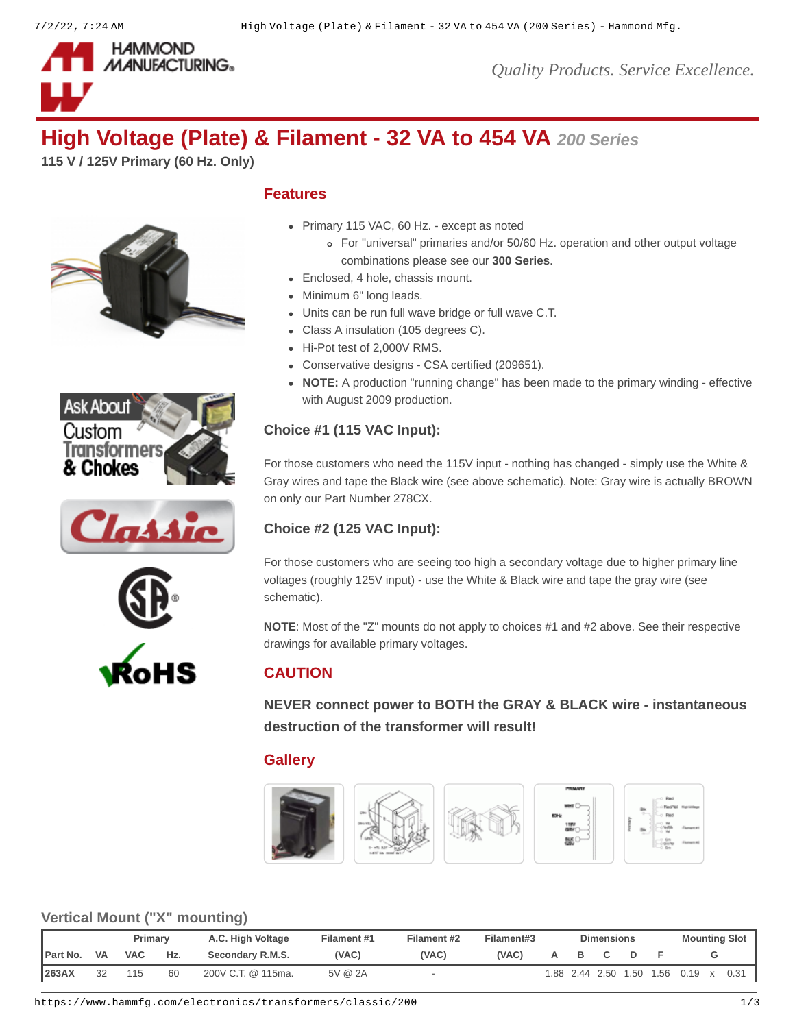

*Quality Products. Service Excellence.*

# **High Voltage (Plate) & Filament - 32 VA to 454 VA** *200 Series*

**115 V / 125V Primary (60 Hz. Only)**









## **Features**

- Primary 115 VAC, 60 Hz. except as noted
	- For "universal" primaries and/or 50/60 Hz. operation and other output voltage combinations please see our **[300 Series](https://www.hammfg.com/product/300)**.
- Enclosed, 4 hole, chassis mount.
- Minimum 6" long leads.
- Units can be run full wave bridge or full wave C.T.
- Class A insulation (105 degrees C).
- Hi-Pot test of 2,000V RMS.
- Conservative designs CSA certified (209651).
- **NOTE:** A production "running change" has been made to the primary winding effective with August 2009 production.

### **Choice #1 (115 VAC Input):**

For those customers who need the 115V input - nothing has changed - simply use the White & Gray wires and tape the Black wire (see above schematic). Note: Gray wire is actually BROWN on only our Part Number 278CX.

### **Choice #2 (125 VAC Input):**

For those customers who are seeing too high a secondary voltage due to higher primary line voltages (roughly 125V input) - use the White & Black wire and tape the gray wire (see schematic).

**NOTE**: Most of the "Z" mounts do not apply to choices #1 and #2 above. See their respective drawings for available primary voltages.

# **CAUTION**

**NEVER connect power to BOTH the GRAY & BLACK wire - instantaneous destruction of the transformer will result!**

# **Gallery**



#### **Vertical Mount ("X" mounting)**

|                  |           | Primarv    |     | A.C. High Voltage  | Filament #1 | Filament #2 | Filament#3 | <b>Dimensions</b> |  |                     |      | <b>Mounting Slot</b> |  |      |  |
|------------------|-----------|------------|-----|--------------------|-------------|-------------|------------|-------------------|--|---------------------|------|----------------------|--|------|--|
| <b>IPart No.</b> | <b>VA</b> | <b>VAC</b> | Hz. | Secondary R.M.S.   | (VAC)       | (VAC)       | (VAC)      |                   |  |                     |      |                      |  |      |  |
| <b>263AX</b>     | 32        | 115        |     | 200V C.T. @ 115ma. | 5V @ $2A$   |             |            |                   |  | 1.88 2.44 2.50 1.50 | 1.56 | 0.19                 |  | 0.31 |  |

https://www.hammfg.com/electronics/transformers/classic/200 1/3